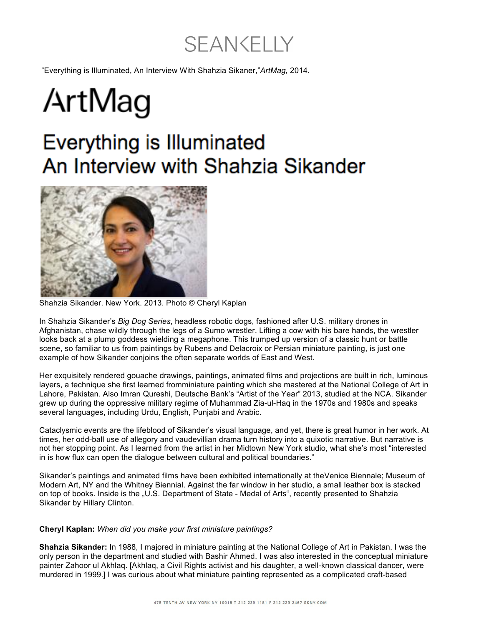# SEANKELLY

"Everything is Illuminated, An Interview With Shahzia Sikaner,"*ArtMag,* 2014.

# ArtMag

## **Everything is Illuminated** An Interview with Shahzia Sikander



Shahzia Sikander. New York. 2013. Photo © Cheryl Kaplan

In Shahzia Sikander's *Big Dog Series*, headless robotic dogs, fashioned after U.S. military drones in Afghanistan, chase wildly through the legs of a Sumo wrestler. Lifting a cow with his bare hands, the wrestler looks back at a plump goddess wielding a megaphone. This trumped up version of a classic hunt or battle scene, so familiar to us from paintings by Rubens and Delacroix or Persian miniature painting, is just one example of how Sikander conjoins the often separate worlds of East and West.

Her exquisitely rendered gouache drawings, paintings, animated films and projections are built in rich, luminous layers, a technique she first learned fromminiature painting which she mastered at the National College of Art in Lahore, Pakistan. Also Imran Qureshi, Deutsche Bank's "Artist of the Year" 2013, studied at the NCA. Sikander grew up during the oppressive military regime of Muhammad Zia-ul-Haq in the 1970s and 1980s and speaks several languages, including Urdu, English, Punjabi and Arabic.

Cataclysmic events are the lifeblood of Sikander's visual language, and yet, there is great humor in her work. At times, her odd-ball use of allegory and vaudevillian drama turn history into a quixotic narrative. But narrative is not her stopping point. As I learned from the artist in her Midtown New York studio, what she's most "interested in is how flux can open the dialogue between cultural and political boundaries."

Sikander's paintings and animated films have been exhibited internationally at theVenice Biennale; Museum of Modern Art, NY and the Whitney Biennial. Against the far window in her studio, a small leather box is stacked on top of books. Inside is the "U.S. Department of State - Medal of Arts", recently presented to Shahzia Sikander by Hillary Clinton.

#### **Cheryl Kaplan:** *When did you make your first miniature paintings?*

**Shahzia Sikander:** In 1988, I majored in miniature painting at the National College of Art in Pakistan. I was the only person in the department and studied with Bashir Ahmed. I was also interested in the conceptual miniature painter Zahoor ul Akhlaq. [Akhlaq, a Civil Rights activist and his daughter, a well-known classical dancer, were murdered in 1999.] I was curious about what miniature painting represented as a complicated craft-based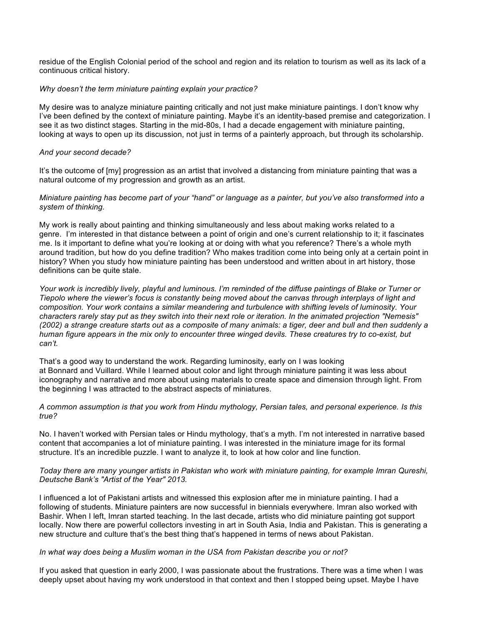residue of the English Colonial period of the school and region and its relation to tourism as well as its lack of a continuous critical history.

#### *Why doesn't the term miniature painting explain your practice?*

My desire was to analyze miniature painting critically and not just make miniature paintings. I don't know why I've been defined by the context of miniature painting. Maybe it's an identity-based premise and categorization. I see it as two distinct stages. Starting in the mid-80s, I had a decade engagement with miniature painting, looking at ways to open up its discussion, not just in terms of a painterly approach, but through its scholarship.

#### *And your second decade?*

It's the outcome of [my] progression as an artist that involved a distancing from miniature painting that was a natural outcome of my progression and growth as an artist.

## *Miniature painting has become part of your "hand" or language as a painter, but you've also transformed into a system of thinking.*

My work is really about painting and thinking simultaneously and less about making works related to a genre. I'm interested in that distance between a point of origin and one's current relationship to it; it fascinates me. Is it important to define what you're looking at or doing with what you reference? There's a whole myth around tradition, but how do you define tradition? Who makes tradition come into being only at a certain point in history? When you study how miniature painting has been understood and written about in art history, those definitions can be quite stale.

*Your work is incredibly lively, playful and luminous. I'm reminded of the diffuse paintings of Blake or Turner or Tiepolo where the viewer's focus is constantly being moved about the canvas through interplays of light and composition. Your work contains a similar meandering and turbulence with shifting levels of luminosity. Your characters rarely stay put as they switch into their next role or iteration. In the animated projection "Nemesis" (2002) a strange creature starts out as a composite of many animals: a tiger, deer and bull and then suddenly a human figure appears in the mix only to encounter three winged devils. These creatures try to co-exist, but can't.*

That's a good way to understand the work. Regarding luminosity, early on I was looking at Bonnard and Vuillard. While I learned about color and light through miniature painting it was less about iconography and narrative and more about using materials to create space and dimension through light. From the beginning I was attracted to the abstract aspects of miniatures.

*A common assumption is that you work from Hindu mythology, Persian tales, and personal experience. Is this true?*

No. I haven't worked with Persian tales or Hindu mythology, that's a myth. I'm not interested in narrative based content that accompanies a lot of miniature painting. I was interested in the miniature image for its formal structure. It's an incredible puzzle. I want to analyze it, to look at how color and line function.

#### *Today there are many younger artists in Pakistan who work with miniature painting, for example Imran Qureshi, Deutsche Bank's "Artist of the Year" 2013.*

I influenced a lot of Pakistani artists and witnessed this explosion after me in miniature painting. I had a following of students. Miniature painters are now successful in biennials everywhere. Imran also worked with Bashir. When I left, Imran started teaching. In the last decade, artists who did miniature painting got support locally. Now there are powerful collectors investing in art in South Asia, India and Pakistan. This is generating a new structure and culture that's the best thing that's happened in terms of news about Pakistan.

#### *In what way does being a Muslim woman in the USA from Pakistan describe you or not?*

If you asked that question in early 2000, I was passionate about the frustrations. There was a time when I was deeply upset about having my work understood in that context and then I stopped being upset. Maybe I have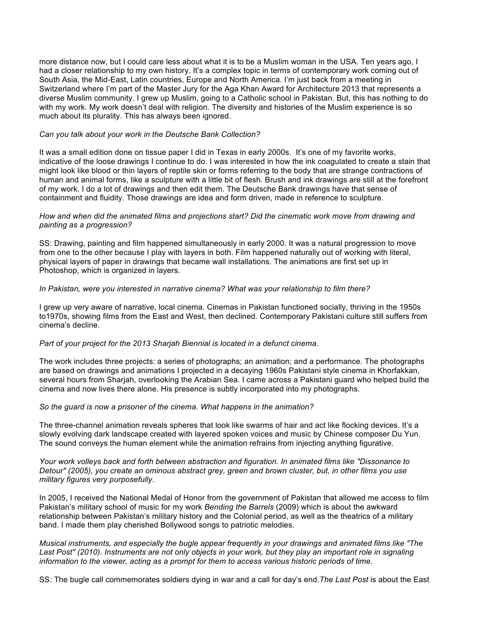more distance now, but I could care less about what it is to be a Muslim woman in the USA. Ten years ago, I had a closer relationship to my own history. It's a complex topic in terms of contemporary work coming out of South Asia, the Mid-East, Latin countries, Europe and North America. I'm just back from a meeting in Switzerland where I'm part of the Master Jury for the Aga Khan Award for Architecture 2013 that represents a diverse Muslim community. I grew up Muslim, going to a Catholic school in Pakistan. But, this has nothing to do with my work. My work doesn't deal with religion. The diversity and histories of the Muslim experience is so much about its plurality. This has always been ignored.

#### *Can you talk about your work in the Deutsche Bank Collection?*

It was a small edition done on tissue paper I did in Texas in early 2000s. It's one of my favorite works, indicative of the loose drawings I continue to do. I was interested in how the ink coagulated to create a stain that might look like blood or thin layers of reptile skin or forms referring to the body that are strange contractions of human and animal forms, like a sculpture with a little bit of flesh. Brush and ink drawings are still at the forefront of my work. I do a lot of drawings and then edit them. The Deutsche Bank drawings have that sense of containment and fluidity. Those drawings are idea and form driven, made in reference to sculpture.

#### *How and when did the animated films and projections start? Did the cinematic work move from drawing and painting as a progression?*

SS: Drawing, painting and film happened simultaneously in early 2000. It was a natural progression to move from one to the other because I play with layers in both. Film happened naturally out of working with literal, physical layers of paper in drawings that became wall installations. The animations are first set up in Photoshop, which is organized in layers.

#### *In Pakistan, were you interested in narrative cinema? What was your relationship to film there?*

I grew up very aware of narrative, local cinema. Cinemas in Pakistan functioned socially, thriving in the 1950s to1970s, showing films from the East and West, then declined. Contemporary Pakistani culture still suffers from cinema's decline.

#### *Part of your project for the 2013 Sharjah Biennial is located in a defunct cinema*.

The work includes three projects: a series of photographs; an animation; and a performance. The photographs are based on drawings and animations I projected in a decaying 1960s Pakistani style cinema in Khorfakkan, several hours from Shariah, overlooking the Arabian Sea. I came across a Pakistani guard who helped build the cinema and now lives there alone. His presence is subtly incorporated into my photographs.

#### *So the guard is now a prisoner of the cinema. What happens in the animation?*

The three-channel animation reveals spheres that look like swarms of hair and act like flocking devices. It's a slowly evolving dark landscape created with layered spoken voices and music by Chinese composer Du Yun. The sound conveys the human element while the animation refrains from injecting anything figurative.

*Your work volleys back and forth between abstraction and figuration. In animated films like "Dissonance to Detour" (2005), you create an ominous abstract grey, green and brown cluster, but, in other films you use military figures very purposefully*.

In 2005, I received the National Medal of Honor from the government of Pakistan that allowed me access to film Pakistan's military school of music for my work *Bending the Barrels* (2009) which is about the awkward relationship between Pakistan's military history and the Colonial period, as well as the theatrics of a military band. I made them play cherished Bollywood songs to patriotic melodies.

*Musical instruments, and especially the bugle appear frequently in your drawings and animated films like "The Last Post" (2010). Instruments are not only objects in your work, but they play an important role in signaling information to the viewer, acting as a prompt for them to access various historic periods of time*.

SS: The bugle call commemorates soldiers dying in war and a call for day's end.*The Last Post* is about the East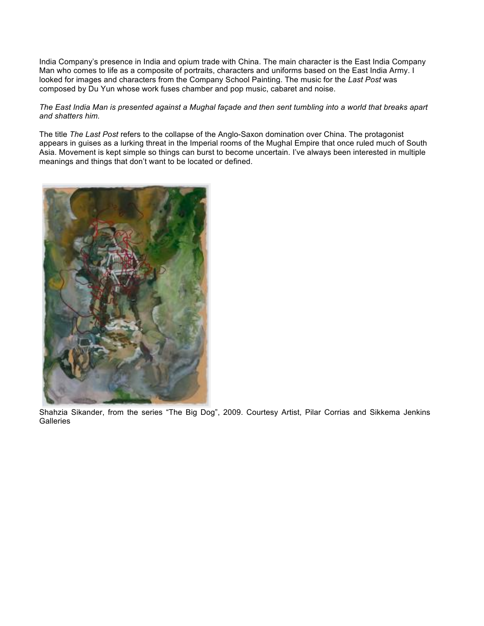India Company's presence in India and opium trade with China. The main character is the East India Company Man who comes to life as a composite of portraits, characters and uniforms based on the East India Army. I looked for images and characters from the Company School Painting. The music for the *Last Post* was composed by Du Yun whose work fuses chamber and pop music, cabaret and noise.

## *The East India Man is presented against a Mughal façade and then sent tumbling into a world that breaks apart and shatters him.*

The title *The Last Post* refers to the collapse of the Anglo-Saxon domination over China. The protagonist appears in guises as a lurking threat in the Imperial rooms of the Mughal Empire that once ruled much of South Asia. Movement is kept simple so things can burst to become uncertain. I've always been interested in multiple meanings and things that don't want to be located or defined.



Shahzia Sikander, from the series "The Big Dog", 2009. Courtesy Artist, Pilar Corrias and Sikkema Jenkins **Galleries**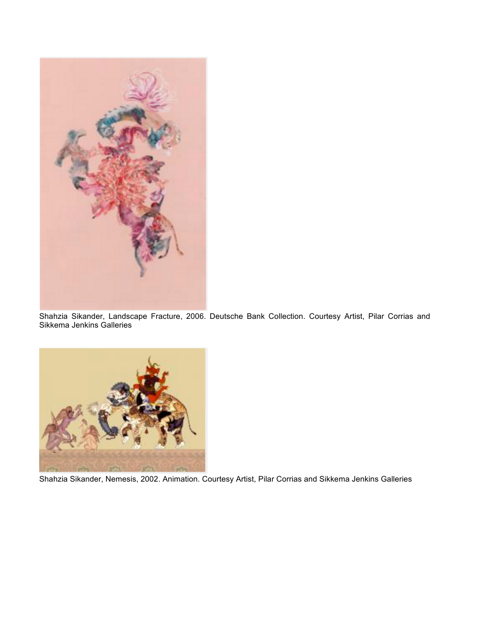

Shahzia Sikander, Landscape Fracture, 2006. Deutsche Bank Collection. Courtesy Artist, Pilar Corrias and Sikkema Jenkins Galleries



Shahzia Sikander, Nemesis, 2002. Animation. Courtesy Artist, Pilar Corrias and Sikkema Jenkins Galleries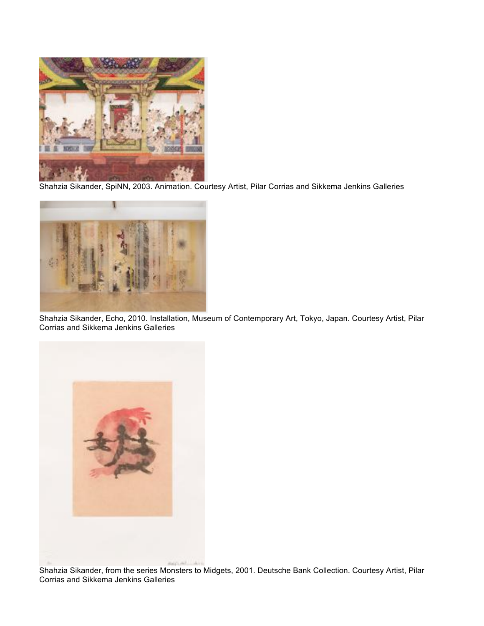

Shahzia Sikander, SpiNN, 2003. Animation. Courtesy Artist, Pilar Corrias and Sikkema Jenkins Galleries



Shahzia Sikander, Echo, 2010. Installation, Museum of Contemporary Art, Tokyo, Japan. Courtesy Artist, Pilar Corrias and Sikkema Jenkins Galleries



Shahzia Sikander, from the series Monsters to Midgets, 2001. Deutsche Bank Collection. Courtesy Artist, Pilar Corrias and Sikkema Jenkins Galleries